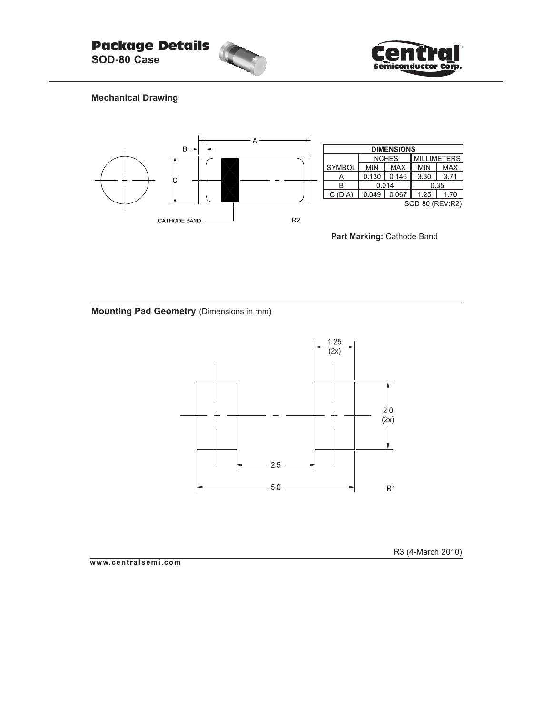



## **Mechanical Drawing**



Part Marking: Cathode Band

**Mounting Pad Geometry** (Dimensions in mm)



R3 (4-March 2010)

**www.centralsemi.com**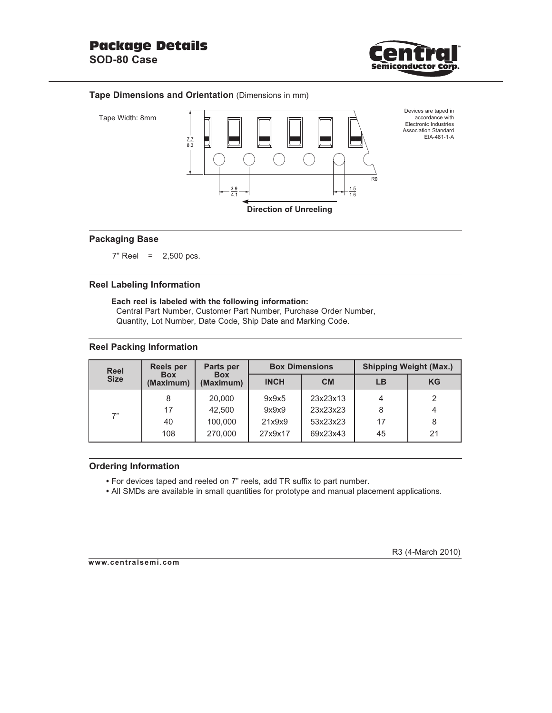

### **Tape Dimensions and Orientation** (Dimensions in mm)





#### **Packaging Base**

 $7"$  Reel = 2,500 pcs.

#### **Reel Labeling Information**

**Each reel is labeled with the following information:** Central Part Number, Customer Part Number, Purchase Order Number, Quantity, Lot Number, Date Code, Ship Date and Marking Code.

#### **Reel Packing Information**

| <b>Reel</b> | Reels per               | Parts per               |             | <b>Box Dimensions</b> | <b>Shipping Weight (Max.)</b> |           |  |
|-------------|-------------------------|-------------------------|-------------|-----------------------|-------------------------------|-----------|--|
| <b>Size</b> | <b>Box</b><br>(Maximum) | <b>Box</b><br>(Maximum) | <b>INCH</b> | <b>CM</b>             | LB                            | <b>KG</b> |  |
| 7"          |                         | 20,000                  | 9x9x5       | 23x23x13              |                               |           |  |
|             | 17                      | 42,500                  | 9x9x9       | 23x23x23              | 8                             |           |  |
|             | 40                      | 100,000                 | 21x9x9      | 53x23x23              | 17                            |           |  |
|             | 108                     | 270,000                 | 27x9x17     | 69x23x43              | 45                            | 21        |  |

## **Ordering Information**

- For devices taped and reeled on 7" reels, add TR suffix to part number.
- All SMDs are available in small quantities for prototype and manual placement applications.

#### **www.centralsemi.com**

R3 (4-March 2010)